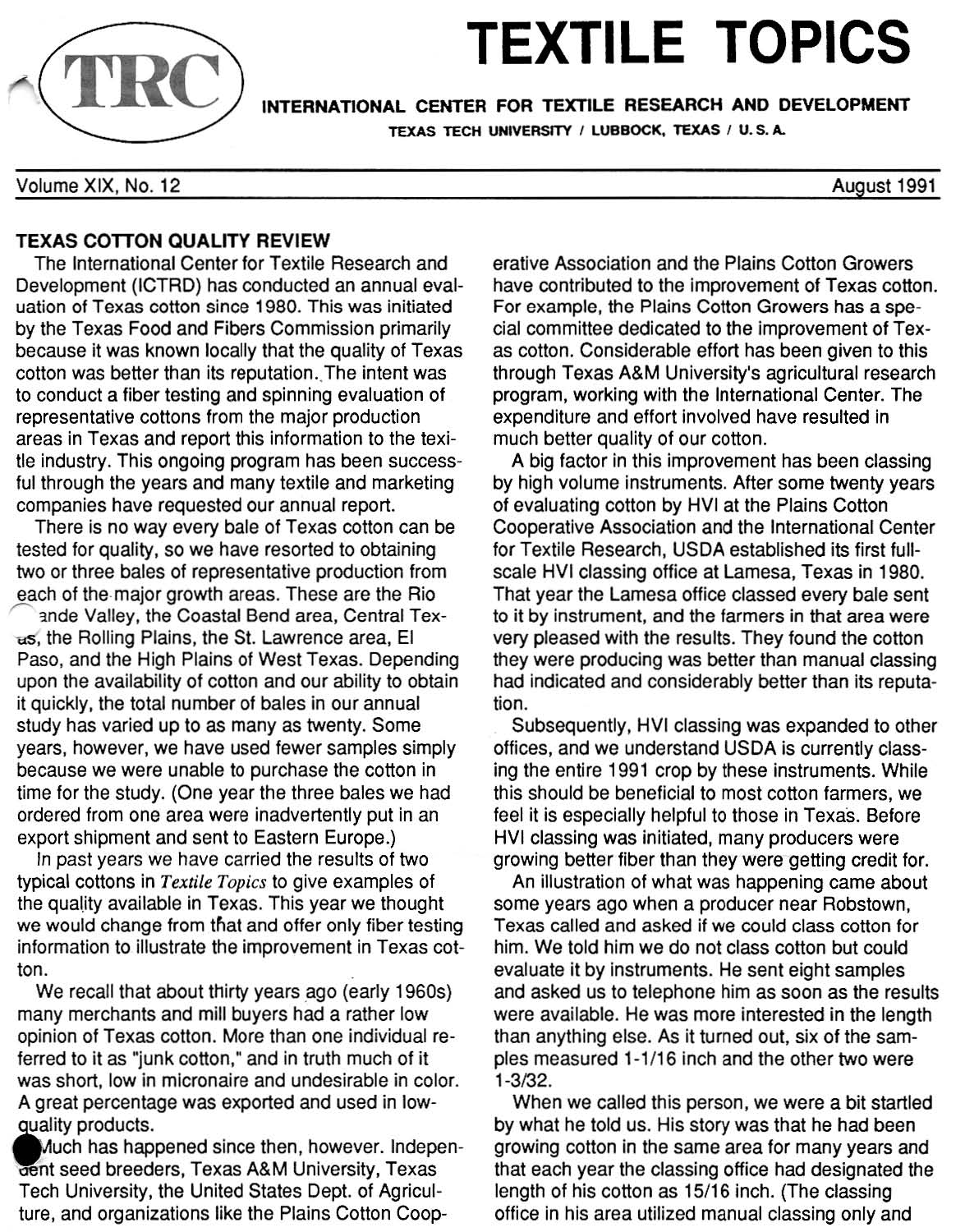# **TEXTILE TOPICS**

INTERNATIONAL CENTER FOR TEXTILE RESEARCH ANO DEVELOPMENT TEXAS TECH UNIVERSITY / LUBBOCK, TEXAS / U.S.A.

Volume XIX, No. 12

## TEXAS COTTON QUALITY REVIEW

The International Center for Textile Research and Development (lCTAD) has conducted an annual evaluation of Texas cotton since 1980. This was initiated by the Texas Food and Fibers Commission primarily because it was known locally that the quality of Texas cotton was better than its reputation. The intent was to conduct a fiber testing and spinning evaluation of representative cottons from the major production areas in Texas and report this information to the texitie industry. This ongoing program has been successful through the years and many textile and marketing companies have requested our annual report.

There is no way every bale of Texas cotton can be tested for quality, so we have resorted to obtaining two or three bales of representative production from each of the major growth areas. These are the Rio

ande Valley, the Coastal Bend area, Central Texus, the Rolling Plains, the St. Lawrence area, EI Paso, and the High Plains of West Texas. Depending upon the availability of cotton and our ability to obtain it quickly, the total number of bales in our annual study has varied up to as many as twenty. Some years, however, we have used fewer samples simply because we were unable to purchase the cotton in time for the study. (One year the three bales we had ordered from one area were inadvertently put in an export shipment and sent to Eastern Europe.)

In past years we have carried the results of two typical cottons in Textile Topics to give examples of the quality available in Texas. This year we thought we would change from that and offer only fiber testing information to illustrate the improvement in Texas cotton.

We recall that about thirty years ago (early 1960s) many merchants and mill buyers had a rather low opinion of Texas cotton. More than one individual referred to it as "junk cotton," and in truth much of it was short, low in micronaire and undesirable in color. A great percentage was exported and used in low quality products.

Much has happened since then, however. Indepencent seed breeders, Texas A&M University, Texas Tech University, the United States Dept. of Agriculture, and organizations like the Plains Cotton Cooperative Association and the Plains Cotton Growers have contributed to the improvement of Texas cotton. For example, the Plains Cotton Growers has a special committee dedicated to the improvement of Texas cotton. Considerable effort has been given to this through Texas A&M University's agricultural research program, working with the International Center. The expenditure and effort involved have resulted in much better quality of our cotton.

A big factor in this improvement has been classing by high volume instruments. After some twenty years of evaluating cotton by HVI at the Plains Cotton Cooperative Association and the International Center for Textile Research, USDA established its first fullscale HVI classing office at Lamesa, Texas in 1980. That year the Lamesa office classed every bale sent to it by instrument. and the farmers in that area were very pleased with the results. They found the cotton they were producing was better than manual classing had indicated and considerably better than its reputation.

Subsequently, HVI classing was expanded to other offices, and we understand USDA is currently classing the entire 1991 crop by these instruments. While this should be beneficial to most cotton farmers, we feel it is especially helpful to those in Texas. Before HVI classing was initiated, many producers were growing better fiber than they were getting credit for.

An illustration of what was happening came about some years ago when a producer near Robstown, Texas called and asked if we could class cotton for him. We told him we do not class cotton but could evaluate it by instruments. He sent eight samples and asked us to telephone him as soon as the results were available. He was more interested in the length than anything else. As it turned out, six of the samples measured 1-1/16 inch and the other two were 1-3/32.

When we called this person, we were a bit startled by what he told us. His story was that he had been growing cotton in the same area for many years and that each year the classing office had deSignated the length of his cotton as 15/16 inch. (The classing office in his area utilized manual classing only and



August 1991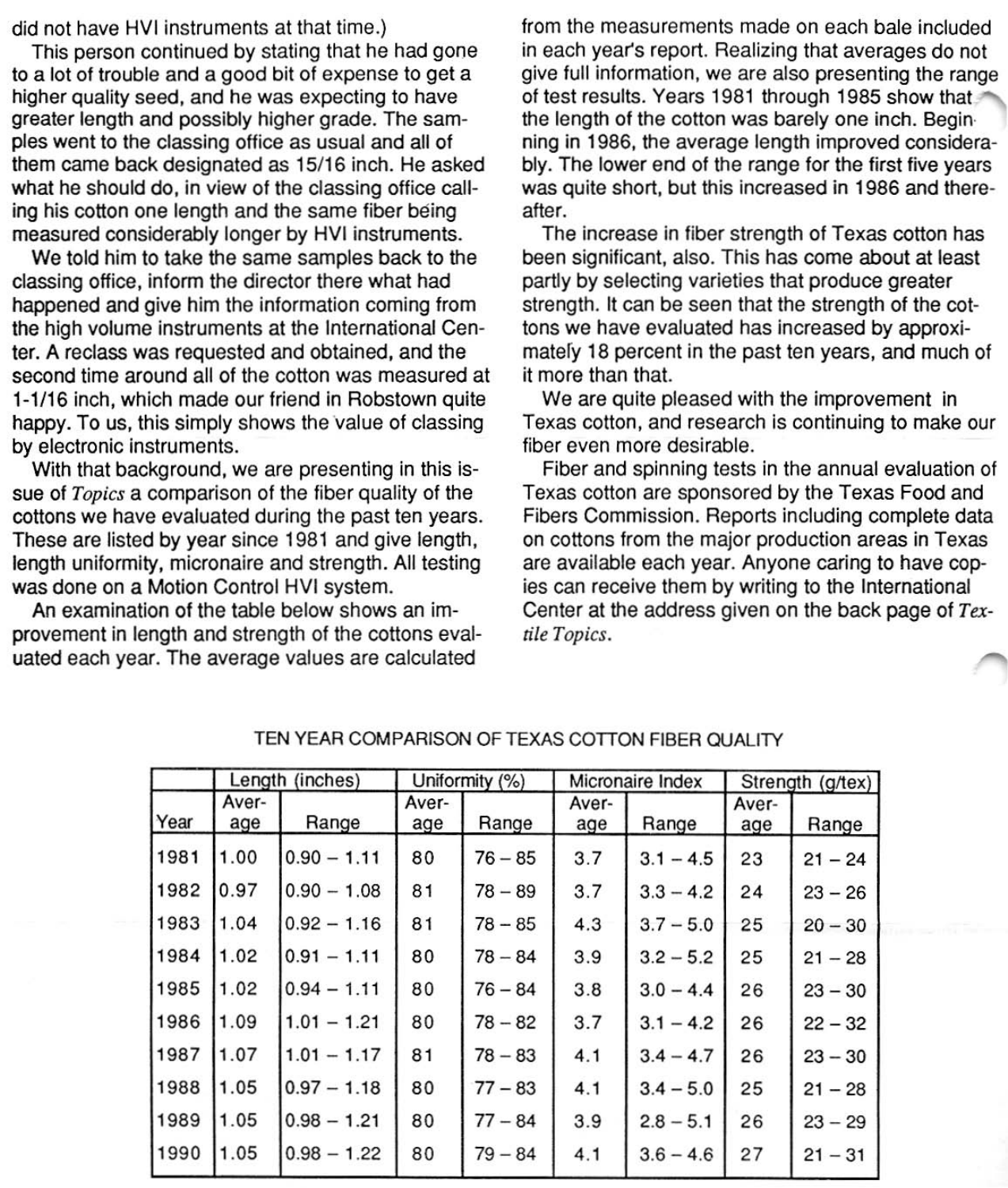**did not have HVI instruments at that time.)** 

**This person continued by stating that he had gone to a lot of trouble and a good bit of expense to get a higher quality seed, and he was expecting to have greater length and possibly higher grade. The sam· pies went to the classing office as usual and all of them came back designated as 15/16 inch. He asked what he should do, in view of the classing office call· ing his cotton one length and the same fiber being measured considerably longer by HVI instruments.** 

We told him to take the same samples back to the **classing office, inform the director there what had happened and give him the information coming from the high volume instruments at the International Cen· ter. A reclass was requested and obtained. and the second time around all of the cotton was measured at 1·1 /16 inch, which made our friend in Robstown quite happy. To us, this simply shows** the value **of classing by electronic instruments.** 

**With that background, we are presenting in this is· sue of Topics a comparison of the fiber quality of the cottons we have evaluated during the past ten years. These are listed by year since 1981 and give length, length uniformity, micronaire and strength. All testing was done on a Motion Control HVI system.** 

**An examination of the table below shows an im· provement in length and strength of the cottons evaluated each year. The average values are calculated** 

**from the measurements made on each bale included in each year's report. Realizing that averages do not give full information, we are also presenting the range of test results. Years 1981 through 1985 show that the length of the cotton was barely one inch. Begin· ning in 1986, the average length improved considera· bly. The lower end of the range for the first five years was quite short, but this increased in 1986 and there· after.** 

**The increase in fiber strength of Texas cotton has been significant, also. This has come about at least partly by selecting varieties that produce greater**  strength. It can be seen that the strength of the cot**tons we have evaluated has increased by approximatefy 18 percent in the past ten years, and much of it more than that.** 

**We are quite pleased with the improvement in Texas cotton, and research is continuing to make our fiber even more desirable.** 

**Fiber and spinning tests in the annual evaluation of Texas cotton are sponsored by the Texas Food and Fibers Commission. Reports including complete data on cottons from the major production areas in Texas are available each year. Anyone caring to have copies can receive them by writing to the International**  Center at the address given on the back page of *Tex***tile Topics.** 

|      | Length (inches) |               | Uniformity (%) |           | Micronaire Index |             | Strength (g/tex) |           |
|------|-----------------|---------------|----------------|-----------|------------------|-------------|------------------|-----------|
| Year | Aver-<br>age    | Range         | Aver-<br>age   | Range     | Aver-<br>age     | Range       | Aver-<br>age     | Range     |
| 1981 | 1.00            | $0.90 - 1.11$ | 80             | $76 - 85$ | 3.7              | $3.1 - 4.5$ | 23               | $21 - 24$ |
| 1982 | 0.97            | $0.90 - 1.08$ | 81             | $78 - 89$ | 3.7              | $3.3 - 4.2$ | 24               | $23 - 26$ |
| 1983 | 1.04            | $0.92 - 1.16$ | 81             | $78 - 85$ | 4.3              | $3.7 - 5.0$ | 25               | $20 - 30$ |
| 1984 | 1.02            | $0.91 - 1.11$ | 80             | $78 - 84$ | 3.9              | $3.2 - 5.2$ | 25               | $21 - 28$ |
| 1985 | 1.02            | $0.94 - 1.11$ | 80             | $76 - 84$ | 3.8              | $3.0 - 4.4$ | 26               | $23 - 30$ |
| 1986 | 1.09            | $1.01 - 1.21$ | 80             | $78 - 82$ | 3.7              | $3.1 - 4.2$ | 26               | $22 - 32$ |
| 1987 | 1.07            | $1.01 - 1.17$ | 81             | $78 - 83$ | 4.1              | $3.4 - 4.7$ | 26               | $23 - 30$ |
| 1988 | 1.05            | $0.97 - 1.18$ | 80             | $77 - 83$ | 4.1              | $3.4 - 5.0$ | 25               | $21 - 28$ |
| 1989 | 1.05            | $0.98 - 1.21$ | 80             | $77 - 84$ | 3.9              | $2.8 - 5.1$ | 26               | $23 - 29$ |
| 1990 | 1.05            | $0.98 - 1.22$ | 80             | $79 - 84$ | 4.1              | $3.6 - 4.6$ | 27               | $21 - 31$ |

TEN YEAR COMPARISON OF TEXAS COTTON FIBER OUALITY